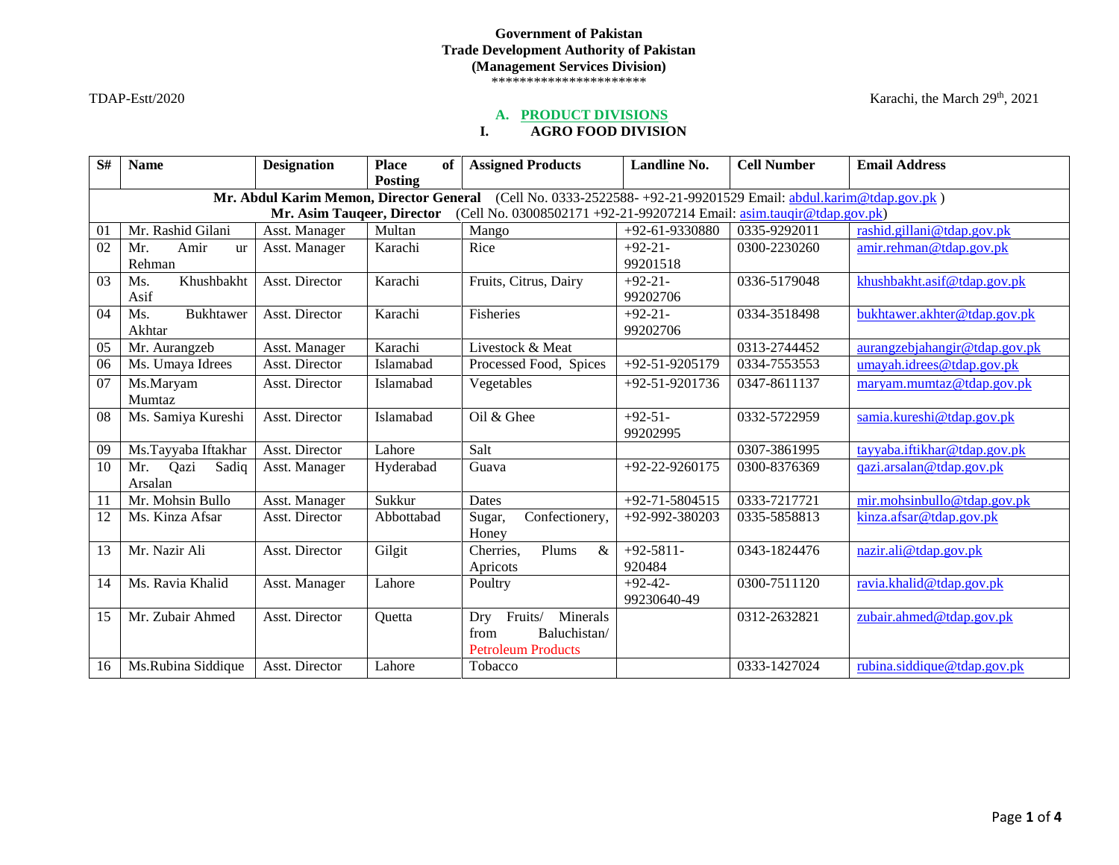# **Government of Pakistan Trade Development Authority of Pakistan (Management Services Division)**

\*\*\*\*\*\*\*\*\*\*\*\*\*\*\*\*\*\*\*\*\*\*

#### $TDAP-Estt/2020$  Karachi, the March  $29<sup>th</sup>$ ,  $2021$

### **A. PRODUCT DIVISIONS**

# **I. AGRO FOOD DIVISION**

| S# | <b>Name</b>                                                                                                     | <b>Designation</b> | <b>Place</b><br>of | <b>Assigned Products</b>   | Landline No.         | <b>Cell Number</b> | <b>Email Address</b>          |  |  |  |
|----|-----------------------------------------------------------------------------------------------------------------|--------------------|--------------------|----------------------------|----------------------|--------------------|-------------------------------|--|--|--|
|    |                                                                                                                 |                    | Posting            |                            |                      |                    |                               |  |  |  |
|    | Mr. Abdul Karim Memon, Director General (Cell No. 0333-2522588- +92-21-99201529 Email: abdul.karim@tdap.gov.pk) |                    |                    |                            |                      |                    |                               |  |  |  |
|    | (Cell No. 03008502171 +92-21-99207214 Email: asim.taugir@tdap.gov.pk)<br>Mr. Asim Tauqeer, Director             |                    |                    |                            |                      |                    |                               |  |  |  |
| 01 | Mr. Rashid Gilani                                                                                               | Asst. Manager      | Multan             | Mango                      | $+92-61-9330880$     | 0335-9292011       | rashid.gillani@tdap.gov.pk    |  |  |  |
| 02 | Amir<br>Mr.<br><b>ur</b>                                                                                        | Asst. Manager      | Karachi            | Rice                       | $+92-21-$            | 0300-2230260       | amir.rehman@tdap.gov.pk       |  |  |  |
|    | Rehman                                                                                                          |                    |                    |                            | 99201518             |                    |                               |  |  |  |
| 03 | Khushbakht<br>Ms.                                                                                               | Asst. Director     | Karachi            | Fruits, Citrus, Dairy      | $+92-21-$            | 0336-5179048       | khushbakht.asif@tdap.gov.pk   |  |  |  |
|    | Asif                                                                                                            |                    |                    |                            | 99202706             |                    |                               |  |  |  |
| 04 | <b>Bukhtawer</b><br>Ms.                                                                                         | Asst. Director     | Karachi            | Fisheries                  | $+92-21-$            | 0334-3518498       | bukhtawer.akhter@tdap.gov.pk  |  |  |  |
|    | Akhtar                                                                                                          |                    |                    |                            | 99202706             |                    |                               |  |  |  |
| 05 | Mr. Aurangzeb                                                                                                   | Asst. Manager      | Karachi            | Livestock & Meat           |                      | 0313-2744452       | aurangzebjahangir@tdap.gov.pk |  |  |  |
| 06 | Ms. Umaya Idrees                                                                                                | Asst. Director     | Islamabad          | Processed Food, Spices     | $+92 - 51 - 9205179$ | 0334-7553553       | $umavah.i$ drees@tdap.gov.pk  |  |  |  |
| 07 | Ms.Maryam                                                                                                       | Asst. Director     | Islamabad          | Vegetables                 | $+92 - 51 - 9201736$ | 0347-8611137       | maryam.mumtaz@tdap.gov.pk     |  |  |  |
|    | Mumtaz                                                                                                          |                    |                    |                            |                      |                    |                               |  |  |  |
| 08 | Ms. Samiya Kureshi                                                                                              | Asst. Director     | Islamabad          | Oil & Ghee                 | $+92-51-$            | 0332-5722959       | samia.kureshi@tdap.gov.pk     |  |  |  |
|    |                                                                                                                 |                    |                    |                            | 99202995             |                    |                               |  |  |  |
| 09 | Ms.Tayyaba Iftakhar                                                                                             | Asst. Director     | Lahore             | Salt                       |                      | 0307-3861995       | tayyaba.iftikhar@tdap.gov.pk  |  |  |  |
| 10 | Mr.<br>Qazi<br>Sadiq                                                                                            | Asst. Manager      | Hyderabad          | Guava                      | $+92-22-9260175$     | 0300-8376369       | gazi.arsalan@tdap.gov.pk      |  |  |  |
|    | Arsalan                                                                                                         |                    |                    |                            |                      |                    |                               |  |  |  |
| 11 | Mr. Mohsin Bullo                                                                                                | Asst. Manager      | Sukkur             | Dates                      | $+92 - 71 - 5804515$ | 0333-7217721       | mir.mohsinbullo@tdap.gov.pk   |  |  |  |
| 12 | Ms. Kinza Afsar                                                                                                 | Asst. Director     | Abbottabad         | Confectionery,<br>Sugar,   | +92-992-380203       | 0335-5858813       | kinza.afsar@tdap.gov.pk       |  |  |  |
|    |                                                                                                                 |                    |                    | Honey                      |                      |                    |                               |  |  |  |
| 13 | Mr. Nazir Ali                                                                                                   | Asst. Director     | Gilgit             | Plums<br>&<br>Cherries,    | $+92-5811-$          | 0343-1824476       | nazir.ali@tdap.gov.pk         |  |  |  |
|    |                                                                                                                 |                    |                    | Apricots                   | 920484               |                    |                               |  |  |  |
| 14 | Ms. Ravia Khalid                                                                                                | Asst. Manager      | Lahore             | Poultry                    | $+92-42-$            | 0300-7511120       | ravia.khalid@tdap.gov.pk      |  |  |  |
|    |                                                                                                                 |                    |                    |                            | 99230640-49          |                    |                               |  |  |  |
| 15 | Mr. Zubair Ahmed                                                                                                | Asst. Director     | Quetta             | Minerals<br>Fruits/<br>Dry |                      | 0312-2632821       | zubair.ahmed@tdap.gov.pk      |  |  |  |
|    |                                                                                                                 |                    |                    | Baluchistan/<br>from       |                      |                    |                               |  |  |  |
|    |                                                                                                                 |                    |                    | <b>Petroleum Products</b>  |                      |                    |                               |  |  |  |
| 16 | Ms.Rubina Siddique                                                                                              | Asst. Director     | Lahore             | Tobacco                    |                      | 0333-1427024       | rubina.siddique@tdap.gov.pk   |  |  |  |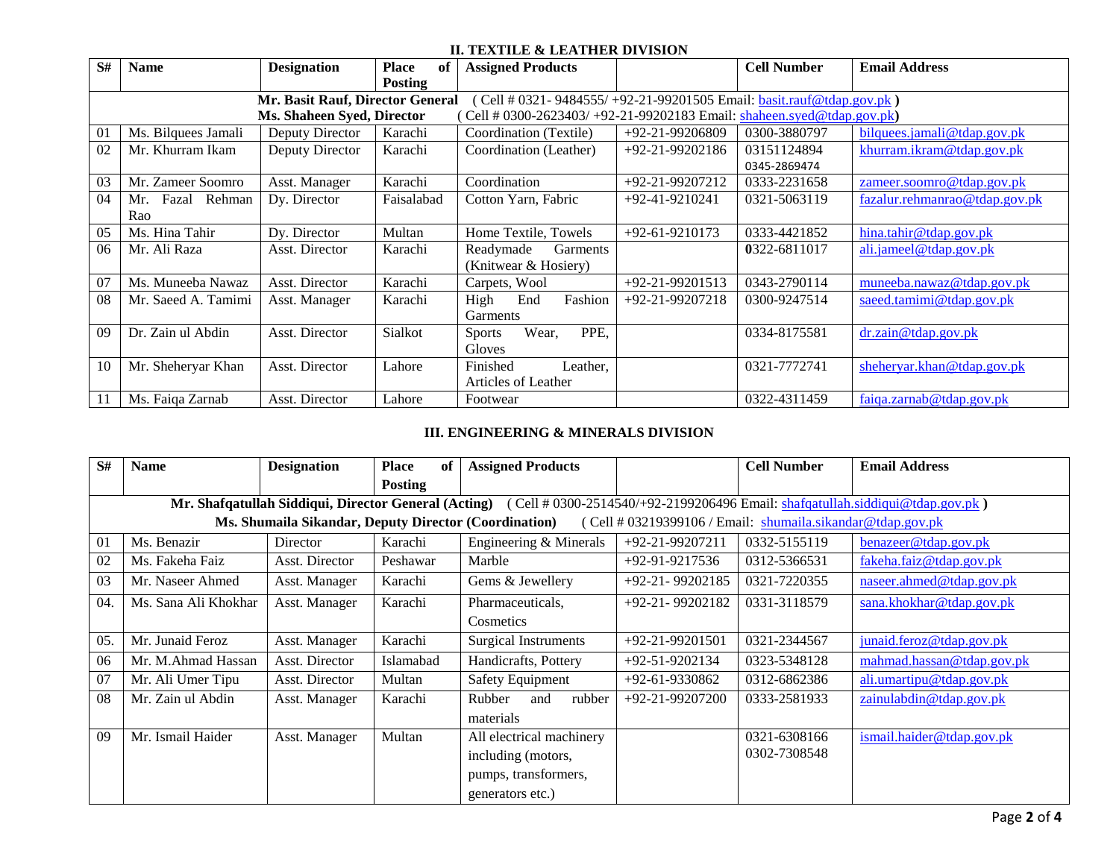### **II. TEXTILE & LEATHER DIVISION**

| S# | <b>Name</b>                                                                                                  | <b>Designation</b> | <b>Place</b><br>of | <b>Assigned Products</b>       |                      | <b>Cell Number</b> | <b>Email Address</b>          |  |  |  |
|----|--------------------------------------------------------------------------------------------------------------|--------------------|--------------------|--------------------------------|----------------------|--------------------|-------------------------------|--|--|--|
|    |                                                                                                              |                    | <b>Posting</b>     |                                |                      |                    |                               |  |  |  |
|    | Mr. Basit Rauf, Director General<br>(Cell # 0321- $9484555/ + 92-21-99201505$ Email: basit.rauf@tdap.gov.pk) |                    |                    |                                |                      |                    |                               |  |  |  |
|    | Ms. Shaheen Syed, Director<br>Cell # 0300-2623403/ +92-21-99202183 Email: shaheen.syed@tdap.gov.pk)          |                    |                    |                                |                      |                    |                               |  |  |  |
| 01 | Ms. Bilquees Jamali                                                                                          | Deputy Director    | Karachi            | Coordination (Textile)         | $+92-21-99206809$    | 0300-3880797       | bilques.jamali@tdap.gov.pk    |  |  |  |
| 02 | Mr. Khurram Ikam                                                                                             | Deputy Director    | Karachi            | Coordination (Leather)         | $+92-21-99202186$    | 03151124894        | khurram.ikram@tdap.gov.pk     |  |  |  |
|    |                                                                                                              |                    |                    |                                |                      | 0345-2869474       |                               |  |  |  |
| 03 | Mr. Zameer Soomro                                                                                            | Asst. Manager      | Karachi            | Coordination                   | $+92-21-99207212$    | 0333-2231658       | zameer.soomro@tdap.gov.pk     |  |  |  |
| 04 | Fazal Rehman<br>Mr.                                                                                          | Dy. Director       | Faisalabad         | Cotton Yarn, Fabric            | $+92-41-9210241$     | 0321-5063119       | fazalur.rehmanrao@tdap.gov.pk |  |  |  |
|    | Rao                                                                                                          |                    |                    |                                |                      |                    |                               |  |  |  |
| 05 | Ms. Hina Tahir                                                                                               | Dy. Director       | Multan             | Home Textile, Towels           | $+92 - 61 - 9210173$ | 0333-4421852       | hina.tahir@tdap.gov.pk        |  |  |  |
| 06 | Mr. Ali Raza                                                                                                 | Asst. Director     | Karachi            | Garments<br>Readymade          |                      | 0322-6811017       | ali.jameel@tdap.gov.pk        |  |  |  |
|    |                                                                                                              |                    |                    | (Knitwear & Hosiery)           |                      |                    |                               |  |  |  |
| 07 | Ms. Muneeba Nawaz                                                                                            | Asst. Director     | Karachi            | Carpets, Wool                  | $+92-21-99201513$    | 0343-2790114       | muneeba.nawaz@tdap.gov.pk     |  |  |  |
| 08 | Mr. Saeed A. Tamimi                                                                                          | Asst. Manager      | Karachi            | Fashion<br>High<br>End         | $+92-21-99207218$    | 0300-9247514       | saeed.tamimi@tdap.gov.pk      |  |  |  |
|    |                                                                                                              |                    |                    | Garments                       |                      |                    |                               |  |  |  |
| 09 | Dr. Zain ul Abdin                                                                                            | Asst. Director     | Sialkot            | PPE,<br>Wear,<br><b>Sports</b> |                      | 0334-8175581       | dr.zain@tdap.gov.pk           |  |  |  |
|    |                                                                                                              |                    |                    | Gloves                         |                      |                    |                               |  |  |  |
| 10 | Mr. Sheheryar Khan                                                                                           | Asst. Director     | Lahore             | Finished<br>Leather,           |                      | 0321-7772741       | sheheryar.khan@tdap.gov.pk    |  |  |  |
|    |                                                                                                              |                    |                    | Articles of Leather            |                      |                    |                               |  |  |  |
| 11 | Ms. Faiqa Zarnab                                                                                             | Asst. Director     | Lahore             | Footwear                       |                      | 0322-4311459       | faiga.zarnab@tdap.gov.pk      |  |  |  |

# **III. ENGINEERING & MINERALS DIVISION**

| S#  | <b>Name</b>                                                                                                                        | <b>Designation</b> | <b>Place</b><br>of | <b>Assigned Products</b>    |                      | <b>Cell Number</b> | <b>Email Address</b>      |  |  |  |
|-----|------------------------------------------------------------------------------------------------------------------------------------|--------------------|--------------------|-----------------------------|----------------------|--------------------|---------------------------|--|--|--|
|     |                                                                                                                                    |                    | <b>Posting</b>     |                             |                      |                    |                           |  |  |  |
|     | Mr. Shafqatullah Siddiqui, Director General (Acting) (Cell # 0300-2514540/+92-2199206496 Email: shafqatullah.siddiqui@tdap.gov.pk) |                    |                    |                             |                      |                    |                           |  |  |  |
|     | Ms. Shumaila Sikandar, Deputy Director (Coordination)<br>(Cell # 03219399106 / Email: shumaila.sikandar@tdap.gov.pk                |                    |                    |                             |                      |                    |                           |  |  |  |
| 01  | Ms. Benazir                                                                                                                        | Director           | Karachi            | Engineering & Minerals      | $+92-21-99207211$    | 0332-5155119       | benazeer@tdap.gov.pk      |  |  |  |
| 02  | Ms. Fakeha Faiz                                                                                                                    | Asst. Director     | Peshawar           | Marble                      | $+92-91-9217536$     | 0312-5366531       | fakeha.faiz@tdap.gov.pk   |  |  |  |
| 03  | Mr. Naseer Ahmed                                                                                                                   | Asst. Manager      | Karachi            | Gems & Jewellery            | $+92-21-99202185$    | 0321-7220355       | naseer.ahmed@tdap.gov.pk  |  |  |  |
| 04  | Ms. Sana Ali Khokhar                                                                                                               | Asst. Manager      | Karachi            | Pharmaceuticals,            | $+92-21-99202182$    | 0331-3118579       | sana.khokhar@tdap.gov.pk  |  |  |  |
|     |                                                                                                                                    |                    |                    | Cosmetics                   |                      |                    |                           |  |  |  |
| 05. | Mr. Junaid Feroz                                                                                                                   | Asst. Manager      | Karachi            | <b>Surgical Instruments</b> | $+92-21-99201501$    | 0321-2344567       | junaid. feroz@tdap.gov.pk |  |  |  |
| 06  | Mr. M.Ahmad Hassan                                                                                                                 | Asst. Director     | Islamabad          | Handicrafts, Pottery        | $+92 - 51 - 9202134$ | 0323-5348128       | mahmad.hassan@tdap.gov.pk |  |  |  |
| 07  | Mr. Ali Umer Tipu                                                                                                                  | Asst. Director     | Multan             | <b>Safety Equipment</b>     | $+92 - 61 - 9330862$ | 0312-6862386       | ali.umartipu@tdap.gov.pk  |  |  |  |
| 08  | Mr. Zain ul Abdin                                                                                                                  | Asst. Manager      | Karachi            | Rubber<br>rubber<br>and     | $+92-21-99207200$    | 0333-2581933       | zainulabdin@tdap.gov.pk   |  |  |  |
|     |                                                                                                                                    |                    |                    | materials                   |                      |                    |                           |  |  |  |
| 09  | Mr. Ismail Haider                                                                                                                  | Asst. Manager      | Multan             | All electrical machinery    |                      | 0321-6308166       | ismail.haider@tdap.gov.pk |  |  |  |
|     |                                                                                                                                    |                    |                    | including (motors,          |                      | 0302-7308548       |                           |  |  |  |
|     |                                                                                                                                    |                    |                    | pumps, transformers,        |                      |                    |                           |  |  |  |
|     |                                                                                                                                    |                    |                    | generators etc.)            |                      |                    |                           |  |  |  |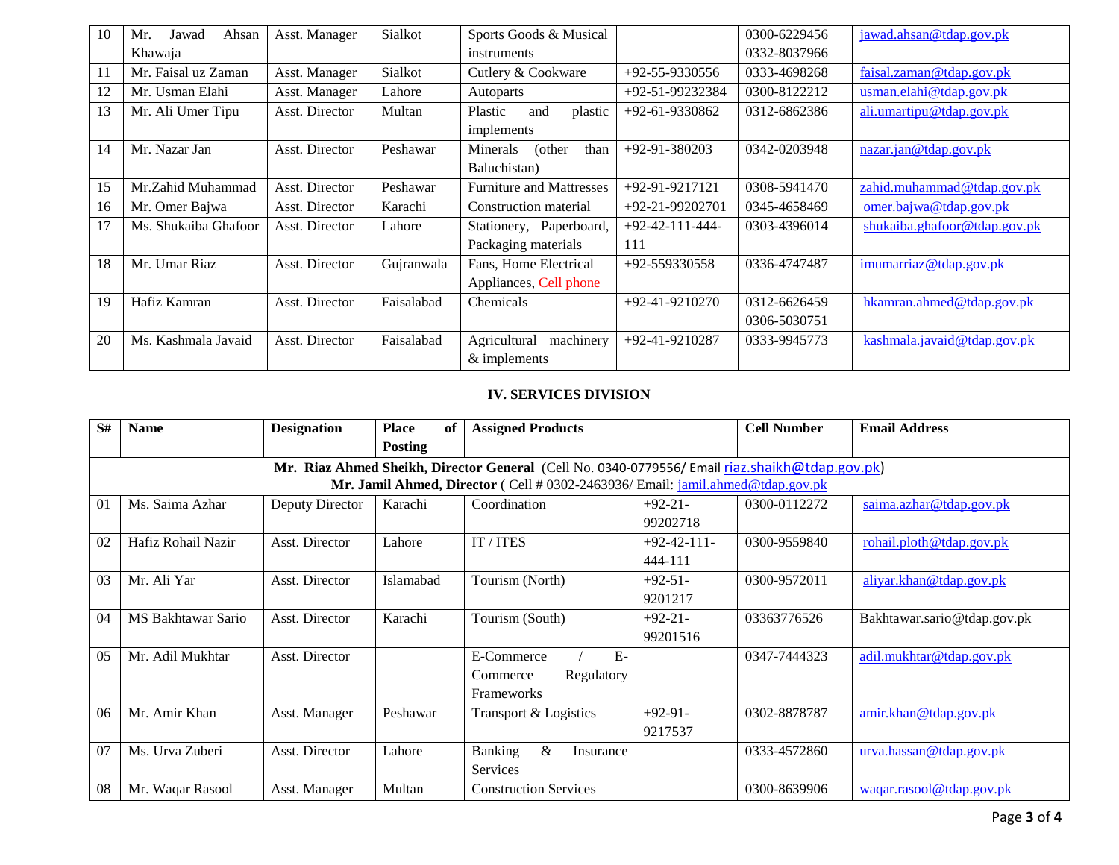| 10 | Ahsan<br>Mr.<br>Jawad | Asst. Manager  | Sialkot    | Sports Goods & Musical          |                      | 0300-6229456 | jawad.ahsan@tdap.gov.pk         |
|----|-----------------------|----------------|------------|---------------------------------|----------------------|--------------|---------------------------------|
|    | Khawaja               |                |            | instruments                     |                      | 0332-8037966 |                                 |
| 11 | Mr. Faisal uz Zaman   | Asst. Manager  | Sialkot    | Cutlery & Cookware              | $+92 - 55 - 9330556$ | 0333-4698268 | faisal.zaman@tdap.gov.pk        |
| 12 | Mr. Usman Elahi       | Asst. Manager  | Lahore     | Autoparts                       | +92-51-99232384      | 0300-8122212 | usman.elahi@tdap.gov.pk         |
| 13 | Mr. Ali Umer Tipu     | Asst. Director | Multan     | Plastic<br>plastic<br>and       | $+92-61-9330862$     | 0312-6862386 | ali.umartipu@tdap.gov.pk        |
|    |                       |                |            | implements                      |                      |              |                                 |
| 14 | Mr. Nazar Jan         | Asst. Director | Peshawar   | than<br>Minerals<br>(other      | $+92-91-380203$      | 0342-0203948 | $\frac{maxar}{ian@tdap.gov.pk}$ |
|    |                       |                |            | Baluchistan)                    |                      |              |                                 |
| 15 | Mr.Zahid Muhammad     | Asst. Director | Peshawar   | <b>Furniture and Mattresses</b> | $+92-91-9217121$     | 0308-5941470 | zahid.muhammad@tdap.gov.pk      |
| 16 | Mr. Omer Bajwa        | Asst. Director | Karachi    | Construction material           | $+92-21-99202701$    | 0345-4658469 | omer.bajwa@tdap.gov.pk          |
| 17 | Ms. Shukaiba Ghafoor  | Asst. Director | Lahore     | Stationery, Paperboard,         | $+92-42-111-444-$    | 0303-4396014 | shukaiba.ghafoor@tdap.gov.pk    |
|    |                       |                |            | Packaging materials             | 111                  |              |                                 |
| 18 | Mr. Umar Riaz         | Asst. Director | Gujranwala | Fans, Home Electrical           | $+92 - 559330558$    | 0336-4747487 | imumarriaz@tdap.gov.pk          |
|    |                       |                |            | Appliances, Cell phone          |                      |              |                                 |
| 19 | Hafiz Kamran          | Asst. Director | Faisalabad | Chemicals                       | $+92-41-9210270$     | 0312-6626459 | hkamran.ahmed@tdap.gov.pk       |
|    |                       |                |            |                                 |                      | 0306-5030751 |                                 |
| 20 | Ms. Kashmala Javaid   | Asst. Director | Faisalabad | Agricultural<br>machinery       | $+92-41-9210287$     | 0333-9945773 | kashmala.javaid@tdap.gov.pk     |
|    |                       |                |            | & implements                    |                      |              |                                 |

### **IV. SERVICES DIVISION**

| S#             | <b>Name</b>                                                                                    | <b>Designation</b> | <b>Place</b><br>of | <b>Assigned Products</b>     |               | <b>Cell Number</b> | <b>Email Address</b>        |  |  |  |
|----------------|------------------------------------------------------------------------------------------------|--------------------|--------------------|------------------------------|---------------|--------------------|-----------------------------|--|--|--|
|                |                                                                                                |                    | <b>Posting</b>     |                              |               |                    |                             |  |  |  |
|                | Mr. Riaz Ahmed Sheikh, Director General (Cell No. 0340-0779556/ Email riaz.shaikh@tdap.gov.pk) |                    |                    |                              |               |                    |                             |  |  |  |
|                | Mr. Jamil Ahmed, Director (Cell # 0302-2463936/ Email: jamil.ahmed@tdap.gov.pk                 |                    |                    |                              |               |                    |                             |  |  |  |
| 01             | Ms. Saima Azhar                                                                                | Deputy Director    | Karachi            | Coordination                 | $+92-21-$     | 0300-0112272       | saima.azhar@tdap.gov.pk     |  |  |  |
|                |                                                                                                |                    |                    |                              | 99202718      |                    |                             |  |  |  |
| 02             | Hafiz Rohail Nazir                                                                             | Asst. Director     | Lahore             | IT / ITES                    | $+92-42-111-$ | 0300-9559840       | rohail.plot@tdap.gov.pk     |  |  |  |
|                |                                                                                                |                    |                    |                              | 444-111       |                    |                             |  |  |  |
| 0 <sub>3</sub> | Mr. Ali Yar                                                                                    | Asst. Director     | Islamabad          | Tourism (North)              | $+92-51-$     | 0300-9572011       | aliyar.khan@tdap.gov.pk     |  |  |  |
|                |                                                                                                |                    |                    |                              | 9201217       |                    |                             |  |  |  |
| 04             | MS Bakhtawar Sario                                                                             | Asst. Director     | Karachi            | Tourism (South)              | $+92-21-$     | 03363776526        | Bakhtawar.sario@tdap.gov.pk |  |  |  |
|                |                                                                                                |                    |                    |                              | 99201516      |                    |                             |  |  |  |
| 0.5            | Mr. Adil Mukhtar                                                                               | Asst. Director     |                    | $E-$<br>E-Commerce           |               | 0347-7444323       | adil.mukhtar@tdap.gov.pk    |  |  |  |
|                |                                                                                                |                    |                    | Regulatory<br>Commerce       |               |                    |                             |  |  |  |
|                |                                                                                                |                    |                    | Frameworks                   |               |                    |                             |  |  |  |
| 06             | Mr. Amir Khan                                                                                  | Asst. Manager      | Peshawar           | Transport & Logistics        | $+92-91-$     | 0302-8878787       | amir.khan@tdap.gov.pk       |  |  |  |
|                |                                                                                                |                    |                    |                              | 9217537       |                    |                             |  |  |  |
| 07             | Ms. Urva Zuberi                                                                                | Asst. Director     | Lahore             | Banking<br>&<br>Insurance    |               | 0333-4572860       | urva.hassan@tdap.gov.pk     |  |  |  |
|                |                                                                                                |                    |                    | Services                     |               |                    |                             |  |  |  |
| 08             | Mr. Waqar Rasool                                                                               | Asst. Manager      | Multan             | <b>Construction Services</b> |               | 0300-8639906       | waqar.rasool@tdap.gov.pk    |  |  |  |